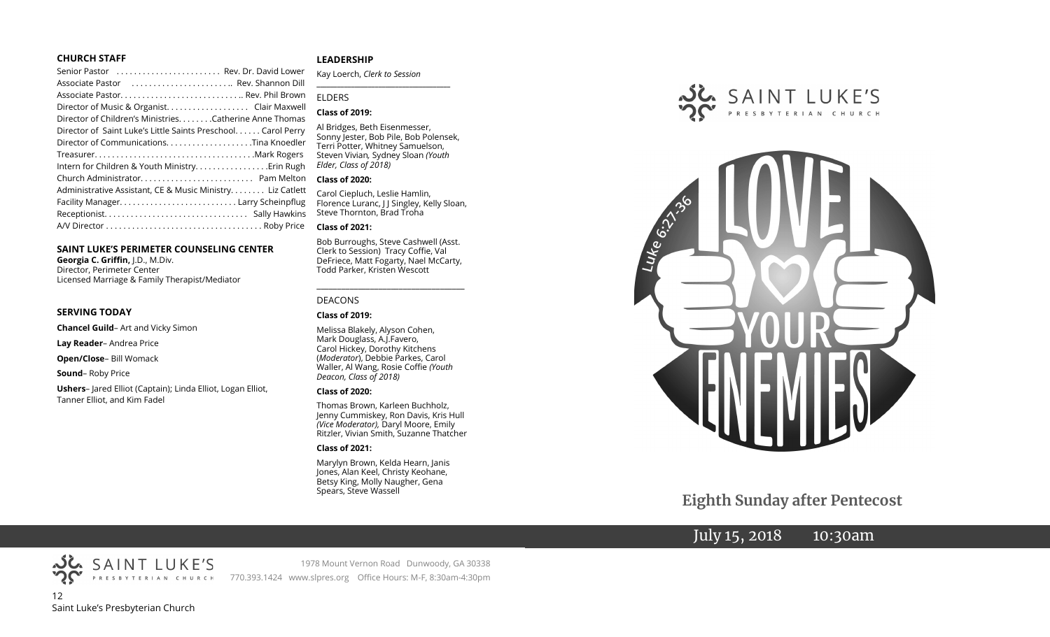#### **CHURCH STAFF**

| Senior Pastor (etc Rev. Dr. David Lower                      |
|--------------------------------------------------------------|
| Associate Pastor  Rev. Shannon Dill                          |
|                                                              |
| Director of Music & Organist. Clair Maxwell                  |
| Director of Children's Ministries. Catherine Anne Thomas     |
| Director of Saint Luke's Little Saints Preschool Carol Perry |
| Director of CommunicationsTina Knoedler                      |
|                                                              |
| Intern for Children & Youth MinistryErin Rugh                |
|                                                              |
| Administrative Assistant, CE & Music Ministry Liz Catlett    |
|                                                              |
|                                                              |
|                                                              |
|                                                              |

#### **SAINT LUKE'S PERIMETER COUNSELING CENTER**

**Georgia C. Griffin,** J.D., M.Div. Director, Perimeter Center Licensed Marriage & Family Therapist/Mediator

#### **SERVING TODAY**

**Chancel Guild**– Art and Vicky Simon

**Lay Reader**– Andrea Price

**Open/Close**– Bill Womack

**Sound**– Roby Price

**Ushers**– Jared Elliot (Captain); Linda Elliot, Logan Elliot, Tanner Elliot, and Kim Fadel

#### **LEADERSHIP**

Kay Loerch, *Clerk to Session*  **\_\_\_\_\_\_\_\_\_\_\_\_\_\_\_\_\_\_\_\_\_\_\_\_\_\_\_\_\_\_\_\_\_\_\_\_\_\_\_**

#### ELDERS

#### **Class of 2019:**

Al Bridges, Beth Eisenmesser, Sonny Jester, Bob Pile, Bob Polensek, Terri Potter, Whitney Samuelson, Steven Vivian*,* Sydney Sloan *(Youth Elder, Class of 2018)*

#### **Class of 2020:**

Carol Ciepluch, Leslie Hamlin, Florence Luranc, J J Singley, Kelly Sloan, Steve Thornton, Brad Troha

#### **Class of 2021:**

Bob Burroughs, Steve Cashwell (Asst. Clerk to Session) Tracy Coffie, Val DeFriece, Matt Fogarty, Nael McCarty, Todd Parker, Kristen Wescott

\_\_\_\_\_\_\_\_\_\_\_\_\_\_\_\_\_\_\_\_\_\_\_\_\_\_\_\_\_\_\_\_\_\_\_\_

#### DEACONS

#### **Class of 2019:**

Melissa Blakely, Alyson Cohen, Mark Douglass, A.J.Favero, Carol Hickey, Dorothy Kitchens (*Moderator*), Debbie Parkes, Carol Waller, Al Wang, Rosie Coffie *(Youth Deacon, Class of 2018)* 

#### **Class of 2020:**

Thomas Brown, Karleen Buchholz, Jenny Cummiskey, Ron Davis, Kris Hull *(Vice Moderator),* Daryl Moore, Emily Ritzler, Vivian Smith, Suzanne Thatcher

#### **Class of 2021:**

Marylyn Brown, Kelda Hearn, Janis Jones, Alan Keel, Christy Keohane, Betsy King, Molly Naugher, Gena Spears, Steve Wassell





 **Eighth Sunday after Pentecost**

# July 15, 2018 10:30am

12 Saint Luke's Presbyterian Church

1978 Mount Vernon Road Dunwoody, GA 30338 770.393.1424 www.slpres.org Office Hours: M-F, 8:30am-4:30pm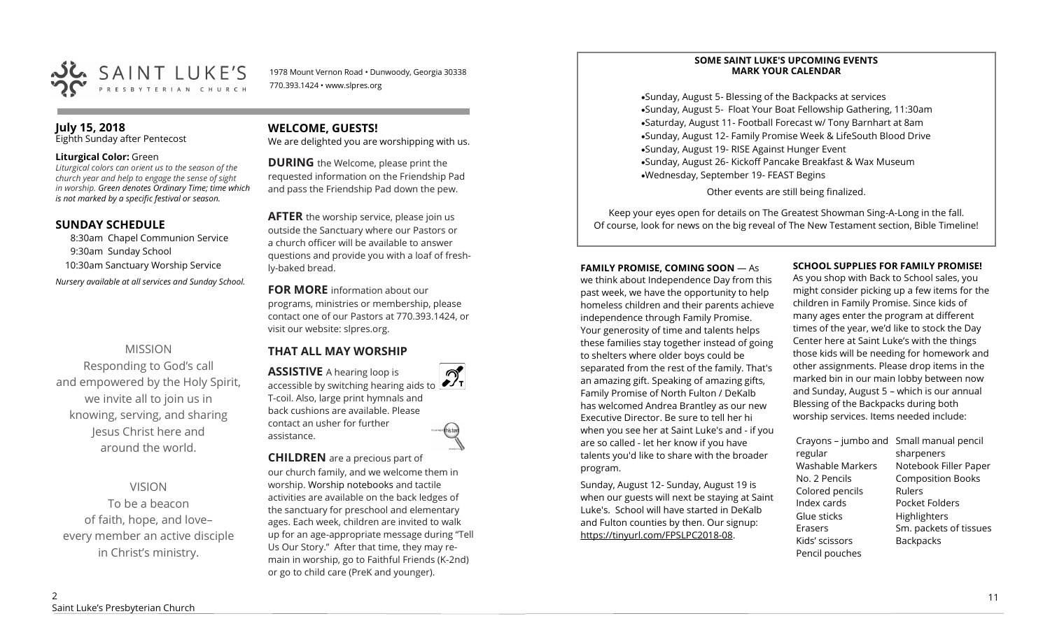

1978 Mount Vernon Road • Dunwoody, Georgia 30338 770.393.1424 • www.slpres.org

#### **July 15, 2018**

Eighth Sunday after Pentecost

#### **Liturgical Color:** Green

*Liturgical colors can orient us to the season of the church year and help to engage the sense of sight in worship. Green denotes Ordinary Time; time which is not marked by a specific festival or season.*

## **SUNDAY SCHEDULE**

8:30am Chapel Communion Service 9:30am Sunday School 10:30am Sanctuary Worship Service

*Nursery available at all services and Sunday School.* 

## MISSION

Responding to God's call and empowered by the Holy Spirit, we invite all to join us in knowing, serving, and sharing Jesus Christ here and around the world.

VISION To be a beacon of faith, hope, and love– every member an active disciple in Christ's ministry.

## **WELCOME, GUESTS!**

We are delighted you are worshipping with us.

**DURING** the Welcome, please print the requested information on the Friendship Pad and pass the Friendship Pad down the pew.

**AFTER** the worship service, please join us outside the Sanctuary where our Pastors or a church officer will be available to answer questions and provide you with a loaf of freshly-baked bread.

**FOR MORE** information about our programs, ministries or membership, please contact one of our Pastors at 770.393.1424, or visit our website: slpres.org.

## **THAT ALL MAY WORSHIP**

**ASSISTIVE** A hearing loop is  $\mathcal{D}_{\mathbf{r}}$ accessible by switching hearing aids to T-coil. Also, large print hymnals and back cushions are available. Please contact an usher for further assistance.

**CHILDREN** are a precious part of our church family, and we welcome them in worship. Worship notebooks and tactile activities are available on the back ledges of the sanctuary for preschool and elementary ages. Each week, children are invited to walk up for an age-appropriate message during "Tell Us Our Story." After that time, they may remain in worship, go to Faithful Friends (K-2nd) or go to child care (PreK and younger).

#### **SOME SAINT LUKE'S UPCOMING EVENTS MARK YOUR CALENDAR**

•Sunday, August 5- Blessing of the Backpacks at services

- •Sunday, August 5- Float Your Boat Fellowship Gathering, 11:30am
- •Saturday, August 11- Football Forecast w/ Tony Barnhart at 8am
- •Sunday, August 12- Family Promise Week & LifeSouth Blood Drive
- •Sunday, August 19- RISE Against Hunger Event
- •Sunday, August 26- Kickoff Pancake Breakfast & Wax Museum
- •Wednesday, September 19- FEAST Begins

Other events are still being finalized.

Keep your eyes open for details on The Greatest Showman Sing-A-Long in the fall. Of course, look for news on the big reveal of The New Testament section, Bible Timeline!

#### **FAMILY PROMISE, COMING SOON** — As

we think about Independence Day from this past week, we have the opportunity to help homeless children and their parents achieve independence through Family Promise. Your generosity of time and talents helps these families stay together instead of going to shelters where older boys could be separated from the rest of the family. That's an amazing gift. Speaking of amazing gifts, Family Promise of North Fulton / DeKalb has welcomed Andrea Brantley as our new Executive Director. Be sure to tell her hi when you see her at Saint Luke's and - if you are so called - let her know if you have talents you'd like to share with the broader program.

Sunday, August 12- Sunday, August 19 is when our guests will next be staying at Saint Luke's. School will have started in DeKalb and Fulton counties by then. Our signup: [https://tinyurl.com/FPSLPC2018](https://tinyurl.com/FPSLPC2018-08)-08.

#### **SCHOOL SUPPLIES FOR FAMILY PROMISE!**

As you shop with Back to School sales, you might consider picking up a few items for the children in Family Promise. Since kids of many ages enter the program at different times of the year, we'd like to stock the Day Center here at Saint Luke's with the things those kids will be needing for homework and other assignments. Please drop items in the marked bin in our main lobby between now and Sunday, August 5 – which is our annual Blessing of the Backpacks during both worship services. Items needed include:

Crayons – jumbo and Small manual pencil regular Washable Markers No. 2 Pencils Colored pencils Index cards Glue sticks Erasers Kids' scissors Pencil pouches sharpeners Notebook Filler Paper Composition Books Rulers Pocket Folders **Highlighters** Sm. packets of tissues **Backpacks**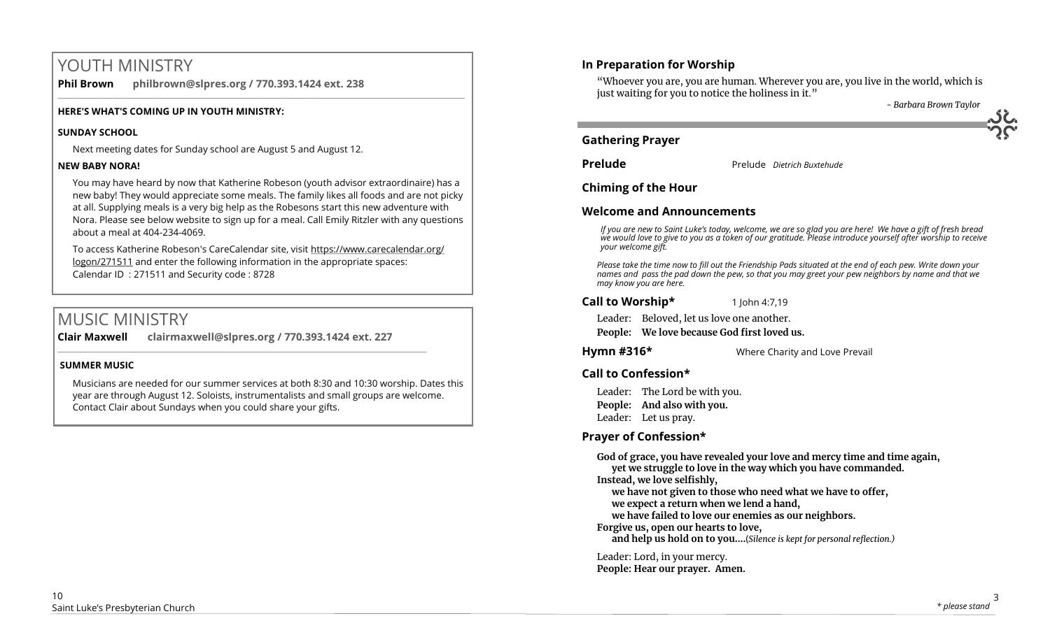# YOUTH MINISTRY

**Phil Brown philbrown@slpres.org / 770.393.1424 ext. 238**   $\_$  ,  $\_$  ,  $\_$  ,  $\_$  ,  $\_$  ,  $\_$  ,  $\_$  ,  $\_$  ,  $\_$  ,  $\_$  ,  $\_$  ,  $\_$  ,  $\_$  ,  $\_$  ,  $\_$  ,  $\_$  ,  $\_$  ,  $\_$  ,  $\_$  ,  $\_$  ,  $\_$  ,  $\_$  ,  $\_$  ,  $\_$  ,  $\_$  ,  $\_$  ,  $\_$  ,  $\_$  ,  $\_$  ,  $\_$  ,  $\_$  ,  $\_$  ,  $\_$  ,  $\_$  ,  $\_$  ,  $\_$  ,  $\_$  ,

## **HERE'S WHAT'S COMING UP IN YOUTH MINISTRY:**

#### **SUNDAY SCHOOL**

Next meeting dates for Sunday school are August 5 and August 12.

#### **NEW BABY NORA!**

You may have heard by now that Katherine Robeson (youth advisor extraordinaire) has a new baby! They would appreciate some meals. The family likes all foods and are not picky at all. Supplying meals is a very big help as the Robesons start this new adventure with Nora. Please see below website to sign up for a meal. Call Emily Ritzler with any questions about a meal at 404-234-4069.

To access Katherine Robeson's CareCalendar site, visit [https://www.carecalendar.org/](https://www.carecalendar.org/logon/271511) [logon/271511](https://www.carecalendar.org/logon/271511) and enter the following information in the appropriate spaces: Calendar ID : 271511 and Security code : 8728

# MUSIC MINISTRY

**Clair Maxwell clairmaxwell@slpres.org / 770.393.1424 ext. 227** 

 $\_$  , and the set of the set of the set of the set of the set of the set of the set of the set of the set of the set of the set of the set of the set of the set of the set of the set of the set of the set of the set of th

#### **SUMMER MUSIC**

Musicians are needed for our summer services at both 8:30 and 10:30 worship. Dates this year are through August 12. Soloists, instrumentalists and small groups are welcome. Contact Clair about Sundays when you could share your gifts.

## **In Preparation for Worship**

"Whoever you are, you are human. Wherever you are, you live in the world, which is just waiting for you to notice the holiness in it."

 *- Barbara Brown Taylor* **Gathering Prayer** 

**Prelude** Prelude *Dietrich Buxtehude*

**Chiming of the Hour**

## **Welcome and Announcements**

*If you are new to Saint Luke's today, welcome, we are so glad you are here! We have a gift of fresh bread we would love to give to you as a token of our gratitude. Please introduce yourself after worship to receive your welcome gift.*

*Please take the time now to fill out the Friendship Pads situated at the end of each pew. Write down your names and pass the pad down the pew, so that you may greet your pew neighbors by name and that we may know you are here.*

## **Call to Worship\*** 1 John 4:7,19

Leader: Beloved, let us love one another. **People: We love because God first loved us.**

**Hymn #316\*** Where Charity and Love Prevail

## **Call to Confession\***

Leader: The Lord be with you. **People: And also with you.** Leader: Let us pray.

## **Prayer of Confession\***

**God of grace, you have revealed your love and mercy time and time again,**

**yet we struggle to love in the way which you have commanded.**

## **Instead, we love selfishly,**

**we have not given to those who need what we have to offer,**

**we expect a return when we lend a hand,**

**we have failed to love our enemies as our neighbors.**

**Forgive us, open our hearts to love,** 

**and help us hold on to you….**(*Silence is kept for personal reflection.)*

Leader: Lord, in your mercy. **People: Hear our prayer. Amen.**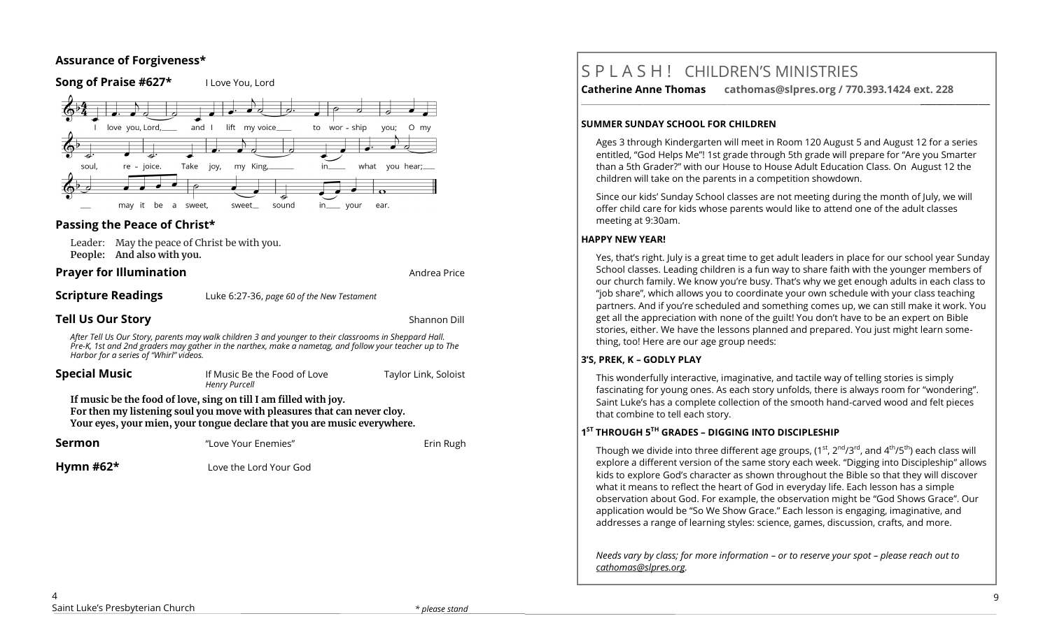## **Assurance of Forgiveness\***



## **Passing the Peace of Christ\***

Leader: May the peace of Christ be with you. **People: And also with you.** 

**Prayer for Illumination Andrea Price Andrea Price Andrea Price Andrea Price** 

**Scripture Readings** Luke 6:27-36, *page 60 of the New Testament* **Tell Us Our Story Shannon Dill Contract Contract Contract Contract Contract Contract Contract Contract Contract Contract Contract Contract Contract Contract Contract Contract Contract Contract Contract Contract Contra** *After Tell Us Our Story, parents may walk children 3 and younger to their classrooms in Sheppard Hall. Pre-K, 1st and 2nd graders may gather in the narthex, make a nametag, and follow your teacher up to The Harbor for a series of "Whirl" videos.* **Special Music If Music Be the Food of Love** Taylor Link, Soloist

*Henry Purcell* **If music be the food of love, sing on till I am filled with joy. For then my listening soul you move with pleasures that can never cloy. Your eyes, your mien, your tongue declare that you are music everywhere.**

**Sermon Example 3** The Music Move Your Enemies" **Example 2** Service Erin Rugh

**Hymn #62\*** Love the Lord Your God

S P L A S H ! CHILDREN'S MINISTRIES

**Catherine Anne Thomas cathomas@slpres.org / 770.393.1424 ext. 228 \_\_\_\_\_\_\_\_\_\_\_\_\_\_\_\_\_\_\_\_\_\_\_\_\_\_\_\_\_\_\_\_\_\_\_\_\_\_\_\_\_\_\_\_\_\_\_\_\_\_\_\_\_\_\_\_\_\_\_\_\_\_\_\_\_\_\_\_\_\_\_\_\_\_\_\_\_\_\_\_\_\_\_\_\_\_\_\_\_\_\_\_\_\_\_\_\_\_\_\_\_\_\_\_\_\_** 

#### **SUMMER SUNDAY SCHOOL FOR CHILDREN**

Ages 3 through Kindergarten will meet in Room 120 August 5 and August 12 for a series entitled, "God Helps Me"! 1st grade through 5th grade will prepare for "Are you Smarter than a 5th Grader?" with our House to House Adult Education Class. On August 12 the children will take on the parents in a competition showdown.

Since our kids' Sunday School classes are not meeting during the month of July, we will offer child care for kids whose parents would like to attend one of the adult classes meeting at 9:30am.

#### **HAPPY NEW YEAR!**

Yes, that's right. July is a great time to get adult leaders in place for our school year Sunday School classes. Leading children is a fun way to share faith with the younger members of our church family. We know you're busy. That's why we get enough adults in each class to "job share", which allows you to coordinate your own schedule with your class teaching partners. And if you're scheduled and something comes up, we can still make it work. You get all the appreciation with none of the guilt! You don't have to be an expert on Bible stories, either. We have the lessons planned and prepared. You just might learn something, too! Here are our age group needs:

#### **3'S, PREK, K – GODLY PLAY**

This wonderfully interactive, imaginative, and tactile way of telling stories is simply fascinating for young ones. As each story unfolds, there is always room for "wondering". Saint Luke's has a complete collection of the smooth hand-carved wood and felt pieces that combine to tell each story.

## **1 ST THROUGH 5TH GRADES – DIGGING INTO DISCIPLESHIP**

Though we divide into three different age groups,  $(1^{st}, 2^{nd}/3^{rd},$  and  $4^{th}/5^{th}$ ) each class will explore a different version of the same story each week. "Digging into Discipleship" allows kids to explore God's character as shown throughout the Bible so that they will discover what it means to reflect the heart of God in everyday life. Each lesson has a simple observation about God. For example, the observation might be "God Shows Grace". Our application would be "So We Show Grace." Each lesson is engaging, imaginative, and addresses a range of learning styles: science, games, discussion, crafts, and more.

*Needs vary by class; for more information – or to reserve your spot – please reach out to [cathomas@slpres.org.](mailto:cathomas@slpres.org)*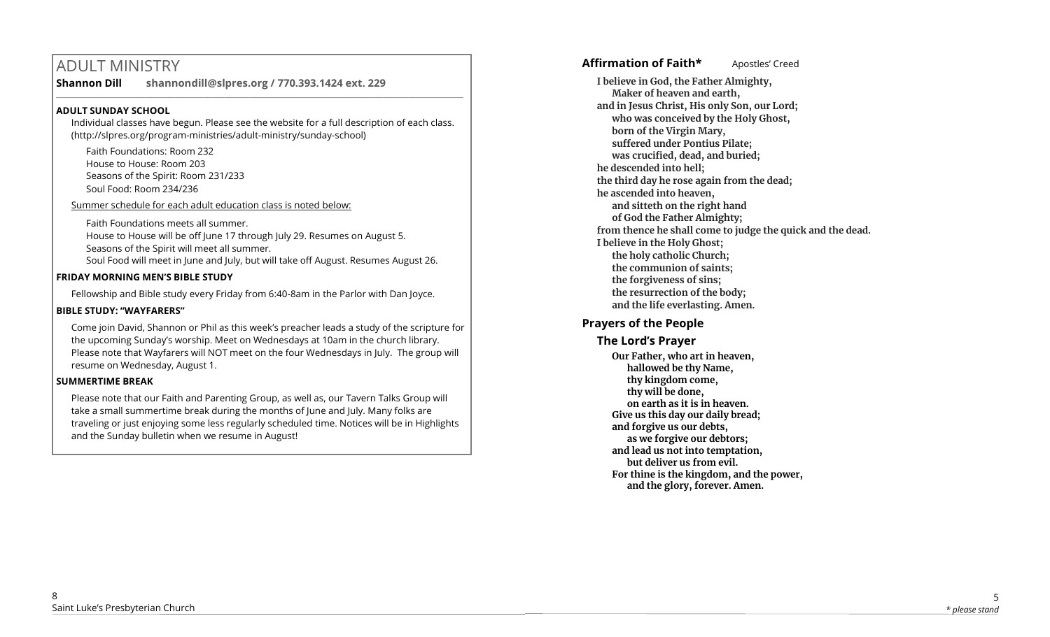# ADULT MINISTRY

**Shannon Dill shannondill@slpres.org / 770.393.1424 ext. 229** 

## **ADULT SUNDAY SCHOOL**

Individual classes have begun. Please see the website for a full description of each class. (http://slpres.org/program-ministries/adult-ministry/sunday-school)

 $\_$  ,  $\_$  ,  $\_$  ,  $\_$  ,  $\_$  ,  $\_$  ,  $\_$  ,  $\_$  ,  $\_$  ,  $\_$  ,  $\_$  ,  $\_$  ,  $\_$  ,  $\_$  ,  $\_$  ,  $\_$  ,  $\_$  ,  $\_$  ,  $\_$ 

Faith Foundations: Room 232 House to House: Room 203 Seasons of the Spirit: Room 231/233 Soul Food: Room 234/236

Summer schedule for each adult education class is noted below:

Faith Foundations meets all summer. House to House will be off June 17 through July 29. Resumes on August 5. Seasons of the Spirit will meet all summer. Soul Food will meet in June and July, but will take off August. Resumes August 26.

## **FRIDAY MORNING MEN'S BIBLE STUDY**

Fellowship and Bible study every Friday from 6:40-8am in the Parlor with Dan Joyce.

## **BIBLE STUDY: "WAYFARERS"**

Come join David, Shannon or Phil as this week's preacher leads a study of the scripture for the upcoming Sunday's worship. Meet on Wednesdays at 10am in the church library. Please note that Wayfarers will NOT meet on the four Wednesdays in July. The group will resume on Wednesday, August 1.

## **SUMMERTIME BREAK**

Please note that our Faith and Parenting Group, as well as, our Tavern Talks Group will take a small summertime break during the months of June and July. Many folks are traveling or just enjoying some less regularly scheduled time. Notices will be in Highlights and the Sunday bulletin when we resume in August!

Affirmation of Faith\* **Apostles'** Creed **I believe in God, the Father Almighty, Maker of heaven and earth, and in Jesus Christ, His only Son, our Lord; who was conceived by the Holy Ghost, born of the Virgin Mary, suffered under Pontius Pilate; was crucified, dead, and buried; he descended into hell; the third day he rose again from the dead; he ascended into heaven, and sitteth on the right hand of God the Father Almighty; from thence he shall come to judge the quick and the dead. I believe in the Holy Ghost; the holy catholic Church; the communion of saints; the forgiveness of sins; the resurrection of the body;** 

# **Prayers of the People**

**The Lord's Prayer Our Father, who art in heaven, hallowed be thy Name, thy kingdom come, thy will be done, on earth as it is in heaven. Give us this day our daily bread; and forgive us our debts, as we forgive our debtors; and lead us not into temptation, but deliver us from evil. For thine is the kingdom, and the power, and the glory, forever. Amen.**

**and the life everlasting. Amen.**